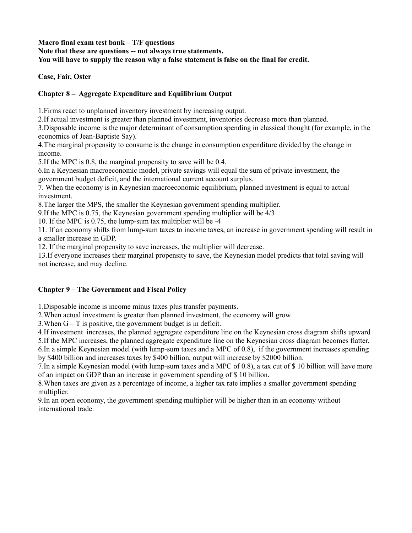**Macro final exam test bank – T/F questions**

**Note that these are questions -- not always true statements.**

**You will have to supply the reason why a false statement is false on the final for credit.**

## **Case, Fair, Oster**

# **Chapter 8 – Aggregate Expenditure and Equilibrium Output**

1.Firms react to unplanned inventory investment by increasing output.

2.If actual investment is greater than planned investment, inventories decrease more than planned.

3.Disposable income is the major determinant of consumption spending in classical thought (for example, in the economics of Jean-Baptiste Say).

4.The marginal propensity to consume is the change in consumption expenditure divided by the change in income.

5.If the MPC is 0.8, the marginal propensity to save will be 0.4.

6.In a Keynesian macroeconomic model, private savings will equal the sum of private investment, the government budget deficit, and the international current account surplus.

7. When the economy is in Keynesian macroeconomic equilibrium, planned investment is equal to actual investment.

8.The larger the MPS, the smaller the Keynesian government spending multiplier.

9.If the MPC is 0.75, the Keynesian government spending multiplier will be 4/3

10. If the MPC is 0.75, the lump-sum tax multiplier will be -4

11. If an economy shifts from lump-sum taxes to income taxes, an increase in government spending will result in a smaller increase in GDP.

12. If the marginal propensity to save increases, the multiplier will decrease.

13.If everyone increases their marginal propensity to save, the Keynesian model predicts that total saving will not increase, and may decline.

## **Chapter 9 – The Government and Fiscal Policy**

1.Disposable income is income minus taxes plus transfer payments.

2.When actual investment is greater than planned investment, the economy will grow.

3.When G – T is positive, the government budget is in deficit.

4.If investment increases, the planned aggregate expenditure line on the Keynesian cross diagram shifts upward 5.If the MPC increases, the planned aggregate expenditure line on the Keynesian cross diagram becomes flatter.

6.In a simple Keynesian model (with lump-sum taxes and a MPC of 0.8), if the government increases spending by \$400 billion and increases taxes by \$400 billion, output will increase by \$2000 billion.

7.In a simple Keynesian model (with lump-sum taxes and a MPC of 0.8), a tax cut of \$ 10 billion will have more of an impact on GDP than an increase in government spending of \$ 10 billion.

8.When taxes are given as a percentage of income, a higher tax rate implies a smaller government spending multiplier.

9.In an open economy, the government spending multiplier will be higher than in an economy without international trade.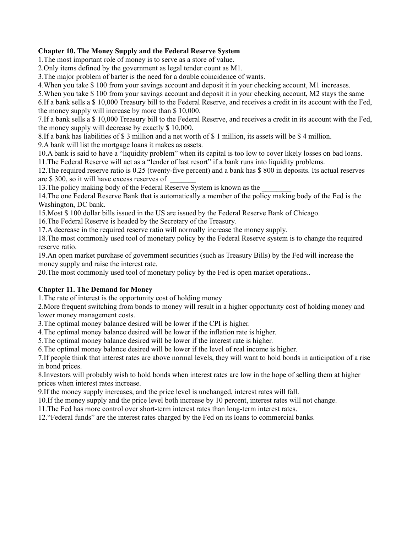#### **Chapter 10. The Money Supply and the Federal Reserve System**

1.The most important role of money is to serve as a store of value.

2.Only items defined by the government as legal tender count as M1.

3.The major problem of barter is the need for a double coincidence of wants.

4.When you take \$ 100 from your savings account and deposit it in your checking account, M1 increases.

5.When you take \$ 100 from your savings account and deposit it in your checking account, M2 stays the same

6.If a bank sells a \$ 10,000 Treasury bill to the Federal Reserve, and receives a credit in its account with the Fed, the money supply will increase by more than \$ 10,000.

7.If a bank sells a \$ 10,000 Treasury bill to the Federal Reserve, and receives a credit in its account with the Fed, the money supply will decrease by exactly \$ 10,000.

8.If a bank has liabilities of \$ 3 million and a net worth of \$ 1 million, its assets will be \$ 4 million.

9.A bank will list the mortgage loans it makes as assets.

10.A bank is said to have a "liquidity problem" when its capital is too low to cover likely losses on bad loans. 11.The Federal Reserve will act as a "lender of last resort" if a bank runs into liquidity problems.

12.The required reserve ratio is 0.25 (twenty-five percent) and a bank has \$ 800 in deposits. Its actual reserves are \$ 300, so it will have excess reserves of \_\_\_\_\_\_\_

13. The policy making body of the Federal Reserve System is known as the

14.The one Federal Reserve Bank that is automatically a member of the policy making body of the Fed is the Washington, DC bank.

15.Most \$ 100 dollar bills issued in the US are issued by the Federal Reserve Bank of Chicago.

16.The Federal Reserve is headed by the Secretary of the Treasury.

17.A decrease in the required reserve ratio will normally increase the money supply.

18.The most commonly used tool of monetary policy by the Federal Reserve system is to change the required reserve ratio.

19.An open market purchase of government securities (such as Treasury Bills) by the Fed will increase the money supply and raise the interest rate.

20.The most commonly used tool of monetary policy by the Fed is open market operations..

### **Chapter 11. The Demand for Money**

1.The rate of interest is the opportunity cost of holding money

2.More frequent switching from bonds to money will result in a higher opportunity cost of holding money and lower money management costs.

3.The optimal money balance desired will be lower if the CPI is higher.

4.The optimal money balance desired will be lower if the inflation rate is higher.

5.The optimal money balance desired will be lower if the interest rate is higher.

6.The optimal money balance desired will be lower if the level of real income is higher.

7.If people think that interest rates are above normal levels, they will want to hold bonds in anticipation of a rise in bond prices.

8.Investors will probably wish to hold bonds when interest rates are low in the hope of selling them at higher prices when interest rates increase.

9.If the money supply increases, and the price level is unchanged, interest rates will fall.

10.If the money supply and the price level both increase by 10 percent, interest rates will not change.

11.The Fed has more control over short-term interest rates than long-term interest rates.

12."Federal funds" are the interest rates charged by the Fed on its loans to commercial banks.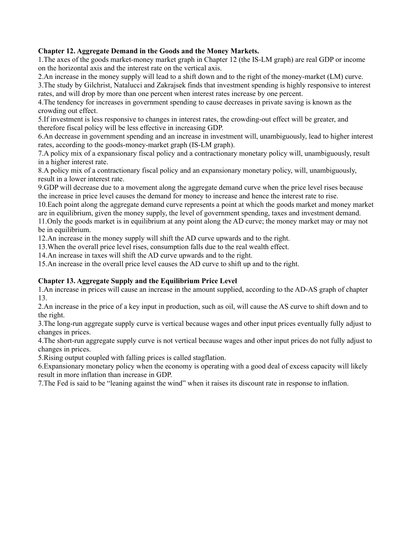### **Chapter 12. Aggregate Demand in the Goods and the Money Markets.**

1.The axes of the goods market-money market graph in Chapter 12 (the IS-LM graph) are real GDP or income on the horizontal axis and the interest rate on the vertical axis.

2.An increase in the money supply will lead to a shift down and to the right of the money-market (LM) curve. 3.The study by Gilchrist, Natalucci and Zakrajsek finds that investment spending is highly responsive to interest

rates, and will drop by more than one percent when interest rates increase by one percent.

4.The tendency for increases in government spending to cause decreases in private saving is known as the crowding out effect.

5.If investment is less responsive to changes in interest rates, the crowding-out effect will be greater, and therefore fiscal policy will be less effective in increasing GDP.

6.An decrease in government spending and an increase in investment will, unambiguously, lead to higher interest rates, according to the goods-money-market graph (IS-LM graph).

7.A policy mix of a expansionary fiscal policy and a contractionary monetary policy will, unambiguously, result in a higher interest rate.

8.A policy mix of a contractionary fiscal policy and an expansionary monetary policy, will, unambiguously, result in a lower interest rate.

9.GDP will decrease due to a movement along the aggregate demand curve when the price level rises because the increase in price level causes the demand for money to increase and hence the interest rate to rise.

10.Each point along the aggregate demand curve represents a point at which the goods market and money market are in equilibrium, given the money supply, the level of government spending, taxes and investment demand. 11.Only the goods market is in equilibrium at any point along the AD curve; the money market may or may not be in equilibrium.

12.An increase in the money supply will shift the AD curve upwards and to the right.

13.When the overall price level rises, consumption falls due to the real wealth effect.

14.An increase in taxes will shift the AD curve upwards and to the right.

15.An increase in the overall price level causes the AD curve to shift up and to the right.

### **Chapter 13. Aggregate Supply and the Equilibrium Price Level**

1.An increase in prices will cause an increase in the amount supplied, according to the AD-AS graph of chapter 13.

2.An increase in the price of a key input in production, such as oil, will cause the AS curve to shift down and to the right.

3.The long-run aggregate supply curve is vertical because wages and other input prices eventually fully adjust to changes in prices.

4.The short-run aggregate supply curve is not vertical because wages and other input prices do not fully adjust to changes in prices.

5.Rising output coupled with falling prices is called stagflation.

6.Expansionary monetary policy when the economy is operating with a good deal of excess capacity will likely result in more inflation than increase in GDP.

7.The Fed is said to be "leaning against the wind" when it raises its discount rate in response to inflation.